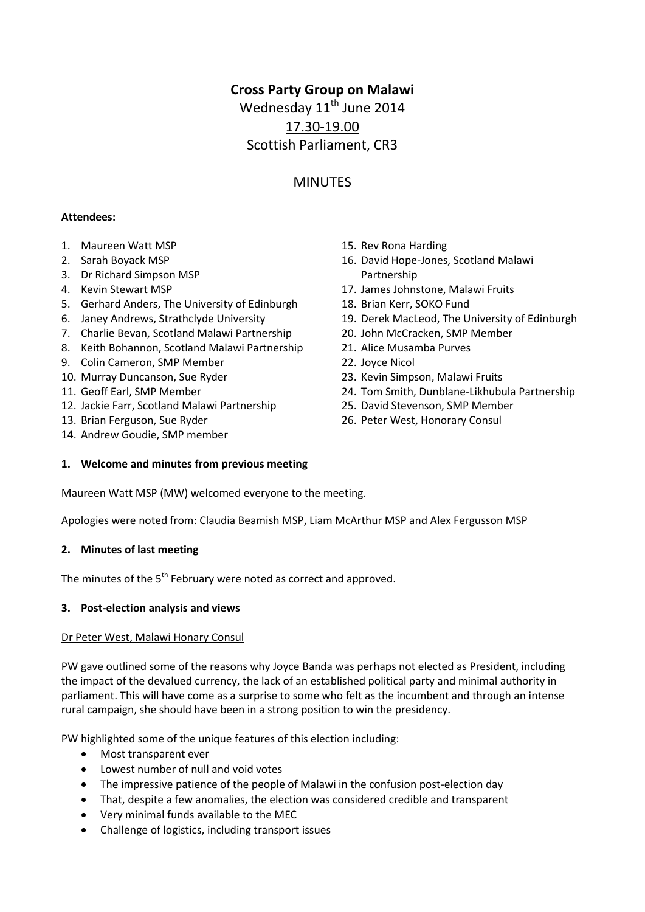# **Cross Party Group on Malawi**

Wednesday 11<sup>th</sup> June 2014 17.30-19.00 Scottish Parliament, CR3

## MINUTES

### **Attendees:**

- 1. Maureen Watt MSP
- 2. Sarah Boyack MSP
- 3. Dr Richard Simpson MSP
- 4. Kevin Stewart MSP
- 5. Gerhard Anders, The University of Edinburgh
- 6. Janey Andrews, Strathclyde University
- 7. Charlie Bevan, Scotland Malawi Partnership
- 8. Keith Bohannon, Scotland Malawi Partnership
- 9. Colin Cameron, SMP Member
- 10. Murray Duncanson, Sue Ryder
- 11. Geoff Earl, SMP Member
- 12. Jackie Farr, Scotland Malawi Partnership
- 13. Brian Ferguson, Sue Ryder
- 14. Andrew Goudie, SMP member
- 15. Rev Rona Harding
- 16. David Hope-Jones, Scotland Malawi Partnership
- 17. James Johnstone, Malawi Fruits
- 18. Brian Kerr, SOKO Fund
- 19. Derek MacLeod, The University of Edinburgh
- 20. John McCracken, SMP Member
- 21. Alice Musamba Purves
- 22. Joyce Nicol
- 23. Kevin Simpson, Malawi Fruits
- 24. Tom Smith, Dunblane-Likhubula Partnership
- 25. David Stevenson, SMP Member
- 26. Peter West, Honorary Consul

## **1. Welcome and minutes from previous meeting**

Maureen Watt MSP (MW) welcomed everyone to the meeting.

Apologies were noted from: Claudia Beamish MSP, Liam McArthur MSP and Alex Fergusson MSP

## **2. Minutes of last meeting**

The minutes of the 5<sup>th</sup> February were noted as correct and approved.

## **3. Post-election analysis and views**

#### Dr Peter West, Malawi Honary Consul

PW gave outlined some of the reasons why Joyce Banda was perhaps not elected as President, including the impact of the devalued currency, the lack of an established political party and minimal authority in parliament. This will have come as a surprise to some who felt as the incumbent and through an intense rural campaign, she should have been in a strong position to win the presidency.

PW highlighted some of the unique features of this election including:

- Most transparent ever
- Lowest number of null and void votes
- The impressive patience of the people of Malawi in the confusion post-election day
- That, despite a few anomalies, the election was considered credible and transparent
- Very minimal funds available to the MEC
- Challenge of logistics, including transport issues